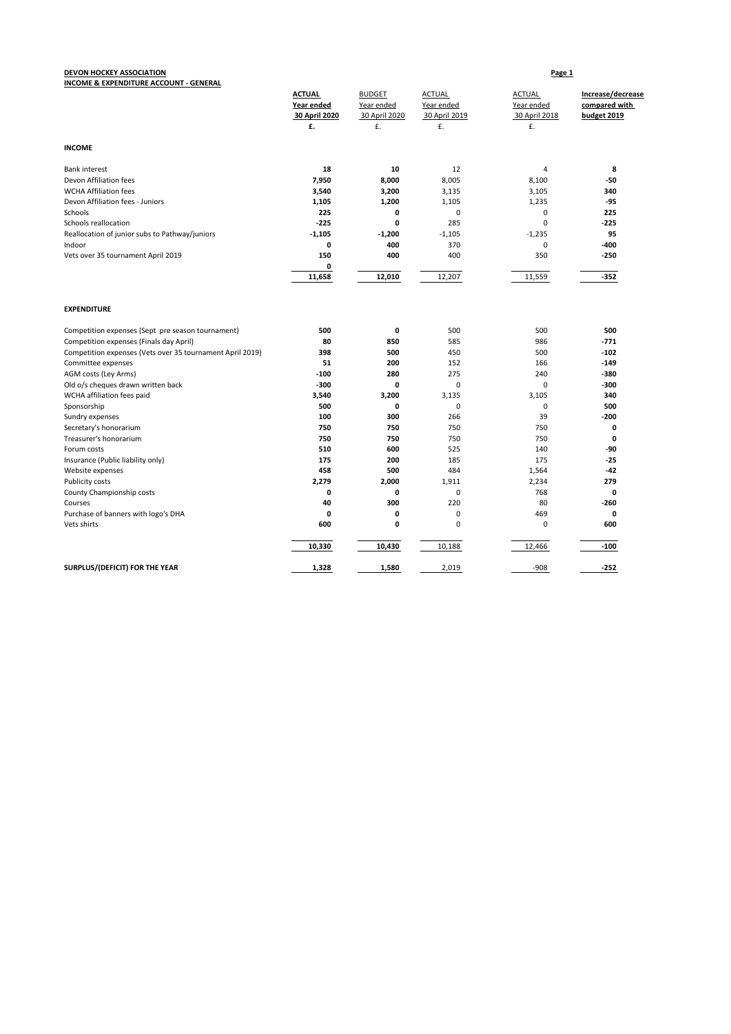### **DEVON HOCKEY ASSOCIATION Page 1 INCOME & EXPENDITURE ACCOUNT - GENERAL**

| <u>INCOME &amp; EAT ENDITORE ACCOUNT - GENERAL</u>        | <b>ACTUAL</b><br>Year ended<br>30 April 2020<br>£. | <b>BUDGET</b><br>Year ended<br>30 April 2020<br>£. | <b>ACTUAL</b><br>Year ended<br>30 April 2019<br>£. | <b>ACTUAL</b><br>Year ended<br>30 April 2018<br>£. | Increase/decrease<br>compared with<br>budget 2019 |
|-----------------------------------------------------------|----------------------------------------------------|----------------------------------------------------|----------------------------------------------------|----------------------------------------------------|---------------------------------------------------|
| <b>INCOME</b>                                             |                                                    |                                                    |                                                    |                                                    |                                                   |
| <b>Bank interest</b>                                      | 18                                                 | 10                                                 | 12                                                 | $\overline{4}$                                     | 8                                                 |
| Devon Affiliation fees                                    | 7,950                                              | 8,000                                              | 8,005                                              | 8,100                                              | -50                                               |
| <b>WCHA Affiliation fees</b>                              | 3,540                                              | 3,200                                              | 3,135                                              | 3,105                                              | 340                                               |
| Devon Affiliation fees - Juniors                          | 1,105                                              | 1,200                                              | 1,105                                              | 1,235                                              | $-95$                                             |
| Schools                                                   | 225                                                | 0                                                  | 0                                                  | 0                                                  | 225                                               |
| Schools reallocation                                      | $-225$                                             | 0                                                  | 285                                                | $\mathbf 0$                                        | $-225$                                            |
| Reallocation of junior subs to Pathway/juniors            | $-1,105$                                           | $-1,200$                                           | $-1,105$                                           | $-1,235$                                           | 95                                                |
| Indoor                                                    | 0                                                  | 400                                                | 370                                                | 0                                                  | -400                                              |
| Vets over 35 tournament April 2019                        | 150                                                | 400                                                | 400                                                | 350                                                | $-250$                                            |
|                                                           | 0                                                  |                                                    |                                                    |                                                    |                                                   |
|                                                           | 11,658                                             | 12,010                                             | 12,207                                             | 11,559                                             | $-352$                                            |
| <b>EXPENDITURE</b>                                        |                                                    |                                                    |                                                    |                                                    |                                                   |
| Competition expenses (Sept pre season tournament)         | 500                                                | 0                                                  | 500                                                | 500                                                | 500                                               |
| Competition expenses (Finals day April)                   | 80                                                 | 850                                                | 585                                                | 986                                                | $-771$                                            |
| Competition expenses (Vets over 35 tournament April 2019) | 398                                                | 500                                                | 450                                                | 500                                                | $-102$                                            |
| Committee expenses                                        | 51                                                 | 200                                                | 152                                                | 166                                                | $-149$                                            |
| AGM costs (Ley Arms)                                      | $-100$                                             | 280                                                | 275                                                | 240                                                | -380                                              |
| Old o/s cheques drawn written back                        | $-300$                                             | 0                                                  | 0                                                  | 0                                                  | -300                                              |
| WCHA affiliation fees paid                                | 3,540                                              | 3,200                                              | 3,135                                              | 3,105                                              | 340                                               |
| Sponsorship                                               | 500                                                | 0                                                  | $\mathbf 0$                                        | $\mathbf 0$                                        | 500                                               |
| Sundry expenses                                           | 100                                                | 300                                                | 266                                                | 39                                                 | -200                                              |
| Secretary's honorarium                                    | 750                                                | 750                                                | 750                                                | 750                                                | 0                                                 |
| Treasurer's honorarium                                    | 750                                                | 750                                                | 750                                                | 750                                                | $\mathbf 0$                                       |
| Forum costs                                               | 510                                                | 600                                                | 525                                                | 140                                                | -90                                               |
| Insurance (Public liability only)                         | 175                                                | 200                                                | 185                                                | 175                                                | $-25$                                             |
| Website expenses                                          | 458                                                | 500                                                | 484                                                | 1,564                                              | -42                                               |
| Publicity costs                                           | 2,279                                              | 2,000                                              | 1,911                                              | 2,234                                              | 279                                               |
| County Championship costs                                 | 0                                                  | 0                                                  | 0                                                  | 768                                                | 0                                                 |
| Courses                                                   | 40                                                 | 300                                                | 220                                                | 80                                                 | -260                                              |
| Purchase of banners with logo's DHA                       | 0                                                  | 0                                                  | 0                                                  | 469                                                | 0                                                 |
| Vets shirts                                               | 600                                                | 0                                                  | 0                                                  | 0                                                  | 600                                               |
|                                                           | 10,330                                             | 10,430                                             | 10,188                                             | 12,466                                             | $-100$                                            |
| SURPLUS/(DEFICIT) FOR THE YEAR                            | 1,328                                              | 1,580                                              | 2,019                                              | $-908$                                             | $-252$                                            |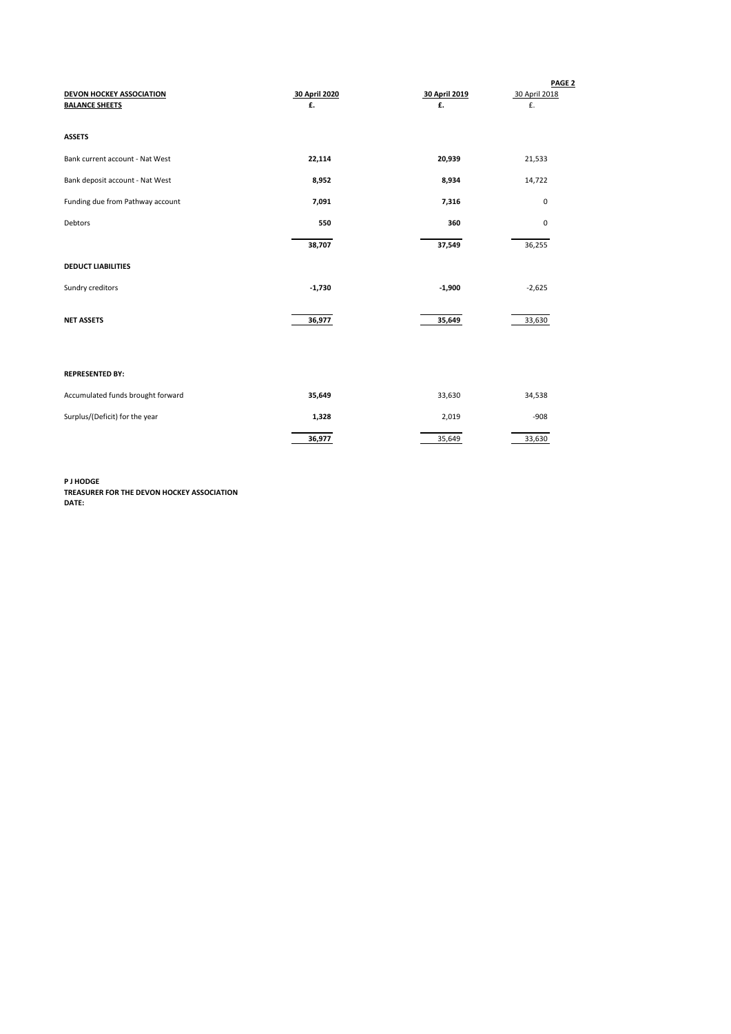| <b>DEVON HOCKEY ASSOCIATION</b><br><b>BALANCE SHEETS</b> | 30 April 2020<br>£. | 30 April 2019<br>£. | PAGE <sub>2</sub><br>30 April 2018<br>£. |
|----------------------------------------------------------|---------------------|---------------------|------------------------------------------|
| <b>ASSETS</b>                                            |                     |                     |                                          |
| Bank current account - Nat West                          | 22,114              | 20,939              | 21,533                                   |
| Bank deposit account - Nat West                          | 8,952               | 8,934               | 14,722                                   |
| Funding due from Pathway account                         | 7,091               | 7,316               | 0                                        |
| Debtors                                                  | 550                 | 360                 | 0                                        |
|                                                          | 38,707              | 37,549              | 36,255                                   |
| <b>DEDUCT LIABILITIES</b>                                |                     |                     |                                          |
| Sundry creditors                                         | $-1,730$            | $-1,900$            | $-2,625$                                 |
| <b>NET ASSETS</b>                                        | 36,977              | 35,649              | 33,630                                   |
| <b>REPRESENTED BY:</b>                                   |                     |                     |                                          |
| Accumulated funds brought forward                        | 35,649              | 33,630              | 34,538                                   |
| Surplus/(Deficit) for the year                           | 1,328               | 2,019               | $-908$                                   |
|                                                          | 36,977              | 35,649              | 33,630                                   |

**P J HODGE TREASURER FOR THE DEVON HOCKEY ASSOCIATION DATE:**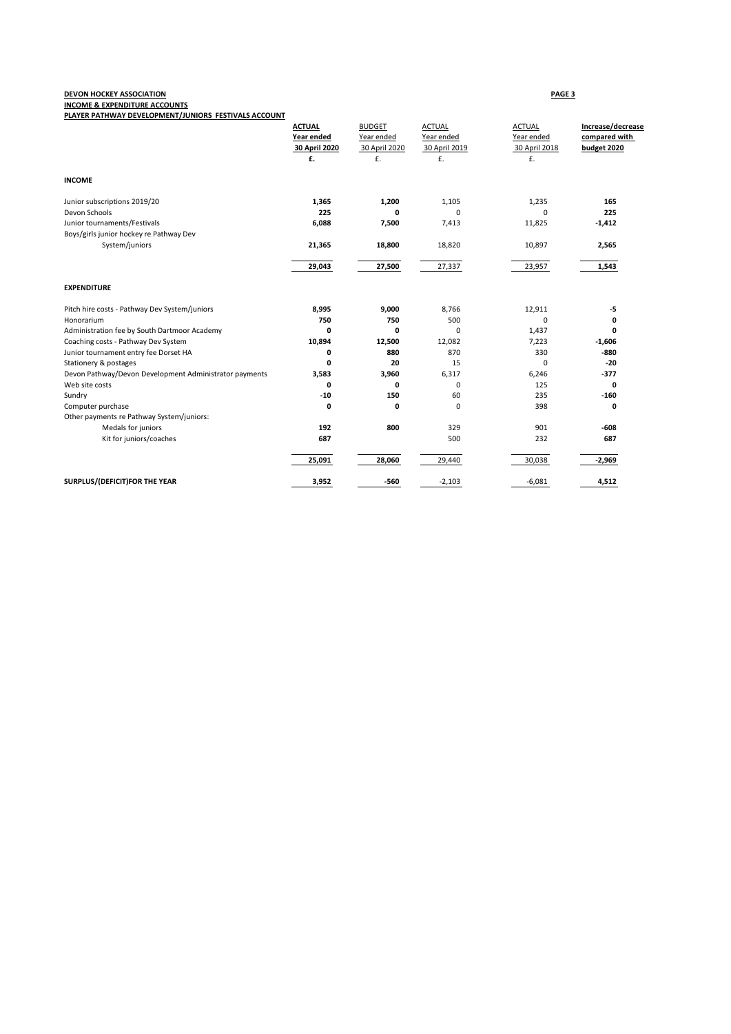# **DEVON HOCKEY ASSOCIATION PAGE 3**

**INCOME & EXPENDITURE ACCOUNTS**

| PLAYER PATHWAY DEVELOPMENT/JUNIORS FESTIVALS ACCOUNT   |               |               |               |               |                   |
|--------------------------------------------------------|---------------|---------------|---------------|---------------|-------------------|
|                                                        | <b>ACTUAL</b> | <b>BUDGET</b> | <b>ACTUAL</b> | <b>ACTUAL</b> | Increase/decrease |
|                                                        | Year ended    | Year ended    | Year ended    | Year ended    | compared with     |
|                                                        | 30 April 2020 | 30 April 2020 | 30 April 2019 | 30 April 2018 | budget 2020       |
|                                                        | £.            | £.            | £.            | £.            |                   |
| <b>INCOME</b>                                          |               |               |               |               |                   |
| Junior subscriptions 2019/20                           | 1,365         | 1,200         | 1,105         | 1,235         | 165               |
| Devon Schools                                          | 225           | 0             | 0             | $\mathbf 0$   | 225               |
| Junior tournaments/Festivals                           | 6,088         | 7,500         | 7,413         | 11,825        | $-1,412$          |
| Boys/girls junior hockey re Pathway Dev                |               |               |               |               |                   |
| System/juniors                                         | 21,365        | 18,800        | 18,820        | 10,897        | 2,565             |
|                                                        | 29,043        | 27,500        | 27,337        | 23,957        | 1,543             |
| <b>EXPENDITURE</b>                                     |               |               |               |               |                   |
| Pitch hire costs - Pathway Dev System/juniors          | 8,995         | 9,000         | 8,766         | 12,911        | -5                |
| Honorarium                                             | 750           | 750           | 500           | 0             | 0                 |
| Administration fee by South Dartmoor Academy           | 0             | 0             | 0             | 1,437         | 0                 |
| Coaching costs - Pathway Dev System                    | 10,894        | 12,500        | 12,082        | 7,223         | $-1,606$          |
| Junior tournament entry fee Dorset HA                  | 0             | 880           | 870           | 330           | $-880$            |
| Stationery & postages                                  | 0             | 20            | 15            | 0             | $-20$             |
| Devon Pathway/Devon Development Administrator payments | 3,583         | 3,960         | 6,317         | 6,246         | -377              |
| Web site costs                                         | 0             | 0             | 0             | 125           | $\mathbf 0$       |
| Sundry                                                 | $-10$         | 150           | 60            | 235           | $-160$            |
| Computer purchase                                      | 0             | 0             | 0             | 398           | 0                 |
| Other payments re Pathway System/juniors:              |               |               |               |               |                   |
| Medals for juniors                                     | 192           | 800           | 329           | 901           | -608              |
| Kit for juniors/coaches                                | 687           |               | 500           | 232           | 687               |
|                                                        | 25,091        | 28,060        | 29,440        | 30,038        | $-2,969$          |
| SURPLUS/(DEFICIT)FOR THE YEAR                          | 3,952         | -560          | $-2,103$      | $-6,081$      | 4,512             |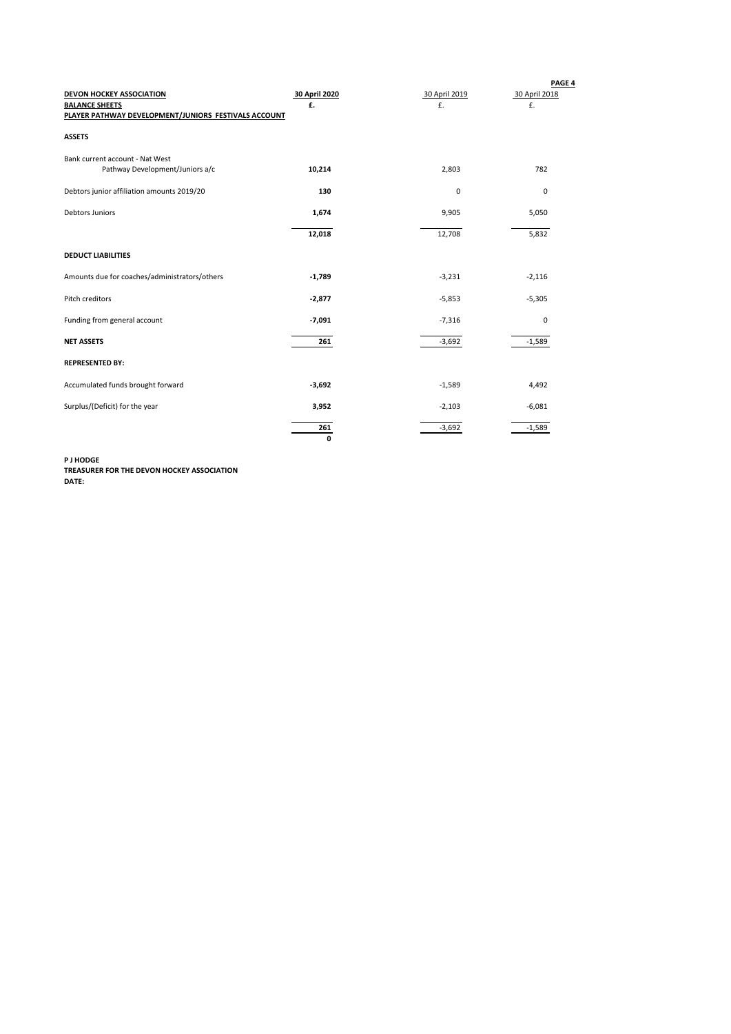| DEVON HOCKEY ASSOCIATION<br><b>BALANCE SHEETS</b><br>PLAYER PATHWAY DEVELOPMENT/JUNIORS FESTIVALS ACCOUNT | 30 April 2020<br>£. | 30 April 2019<br>£. | PAGE 4<br>30 April 2018<br>£. |
|-----------------------------------------------------------------------------------------------------------|---------------------|---------------------|-------------------------------|
| <b>ASSETS</b>                                                                                             |                     |                     |                               |
| Bank current account - Nat West<br>Pathway Development/Juniors a/c                                        | 10,214              | 2,803               | 782                           |
| Debtors junior affiliation amounts 2019/20                                                                | 130                 | 0                   | 0                             |
| <b>Debtors Juniors</b>                                                                                    | 1,674               | 9,905               | 5,050                         |
|                                                                                                           | 12,018              | 12,708              | 5,832                         |
| <b>DEDUCT LIABILITIES</b>                                                                                 |                     |                     |                               |
| Amounts due for coaches/administrators/others                                                             | $-1,789$            | $-3,231$            | $-2,116$                      |
| Pitch creditors                                                                                           | $-2,877$            | $-5,853$            | $-5,305$                      |
| Funding from general account                                                                              | $-7,091$            | $-7,316$            | 0                             |
| <b>NET ASSETS</b>                                                                                         | 261                 | $-3,692$            | $-1,589$                      |
| <b>REPRESENTED BY:</b>                                                                                    |                     |                     |                               |
| Accumulated funds brought forward                                                                         | $-3,692$            | $-1,589$            | 4,492                         |
| Surplus/(Deficit) for the year                                                                            | 3,952               | $-2,103$            | $-6,081$                      |
|                                                                                                           | 261<br>0            | $-3,692$            | $-1,589$                      |

**P J HODGE**

**TREASURER FOR THE DEVON HOCKEY ASSOCIATION DATE:**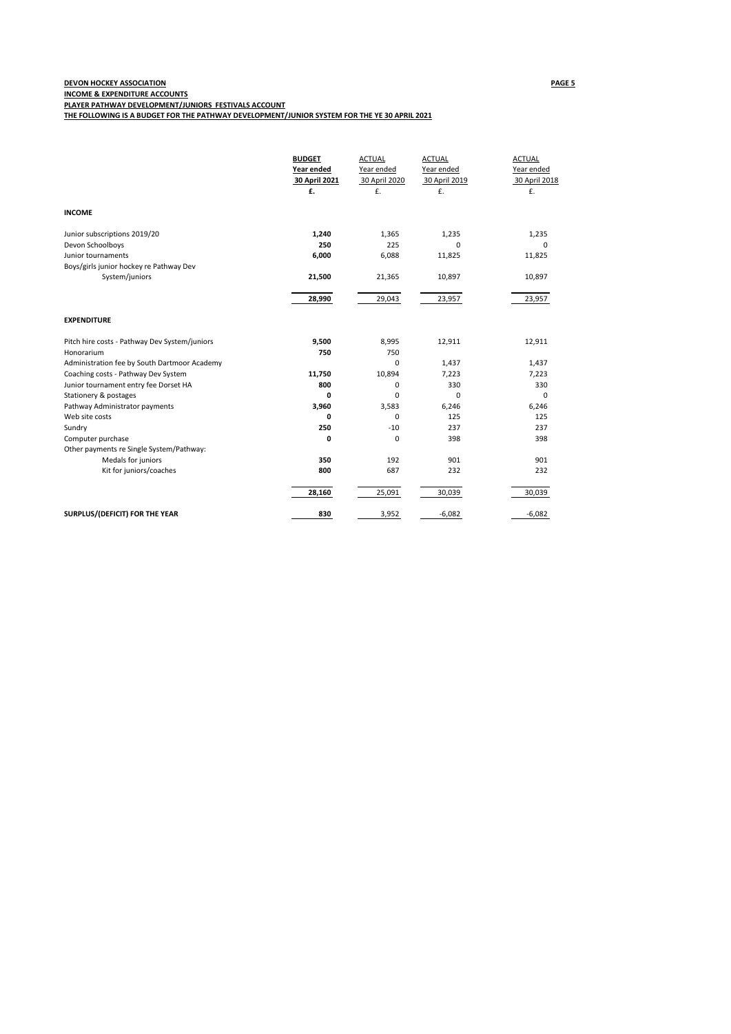## **DEVON HOCKEY ASSOCIATION PAGE 5 INCOME & EXPENDITURE ACCOUNTS PLAYER PATHWAY DEVELOPMENT/JUNIORS FESTIVALS ACCOUNT**

**THE FOLLOWING IS A BUDGET FOR THE PATHWAY DEVELOPMENT/JUNIOR SYSTEM FOR THE YE 30 APRIL 2021**

|                                                               | <b>BUDGET</b><br>Year ended<br>30 April 2021<br>£. | <b>ACTUAL</b><br>Year ended<br>30 April 2020<br>£. | <b>ACTUAL</b><br>Year ended<br>30 April 2019<br>£. | <b>ACTUAL</b><br>Year ended<br>30 April 2018<br>£. |
|---------------------------------------------------------------|----------------------------------------------------|----------------------------------------------------|----------------------------------------------------|----------------------------------------------------|
| <b>INCOME</b>                                                 |                                                    |                                                    |                                                    |                                                    |
| Junior subscriptions 2019/20                                  | 1,240                                              | 1,365                                              | 1,235                                              | 1,235                                              |
| Devon Schoolboys                                              | 250                                                | 225                                                | <sup>0</sup>                                       | $\Omega$                                           |
| Junior tournaments<br>Boys/girls junior hockey re Pathway Dev | 6,000                                              | 6,088                                              | 11,825                                             | 11,825                                             |
| System/juniors                                                | 21,500                                             | 21,365                                             | 10,897                                             | 10,897                                             |
|                                                               | 28,990                                             | 29,043                                             | 23,957                                             | 23,957                                             |
| <b>EXPENDITURE</b>                                            |                                                    |                                                    |                                                    |                                                    |
| Pitch hire costs - Pathway Dev System/juniors                 | 9,500                                              | 8,995                                              | 12,911                                             | 12,911                                             |
| Honorarium                                                    | 750                                                | 750                                                |                                                    |                                                    |
| Administration fee by South Dartmoor Academy                  |                                                    | $\Omega$                                           | 1,437                                              | 1,437                                              |
| Coaching costs - Pathway Dev System                           | 11,750                                             | 10,894                                             | 7,223                                              | 7,223                                              |
| Junior tournament entry fee Dorset HA                         | 800                                                | $\mathbf 0$                                        | 330                                                | 330                                                |
| Stationery & postages                                         | 0                                                  | $\mathbf 0$                                        | $\Omega$                                           | 0                                                  |
| Pathway Administrator payments                                | 3,960                                              | 3,583                                              | 6,246                                              | 6,246                                              |
| Web site costs                                                | $\mathbf 0$                                        | $\mathbf 0$                                        | 125                                                | 125                                                |
| Sundry                                                        | 250                                                | $-10$                                              | 237                                                | 237                                                |
| Computer purchase                                             | $\mathbf 0$                                        | $\mathbf 0$                                        | 398                                                | 398                                                |
| Other payments re Single System/Pathway:                      | 350                                                |                                                    |                                                    |                                                    |
| Medals for juniors                                            | 800                                                | 192<br>687                                         | 901<br>232                                         | 901<br>232                                         |
| Kit for juniors/coaches                                       |                                                    |                                                    |                                                    |                                                    |
|                                                               | 28,160                                             | 25,091                                             | 30,039                                             | 30,039                                             |
| SURPLUS/(DEFICIT) FOR THE YEAR                                | 830                                                | 3,952                                              | $-6,082$                                           | $-6,082$                                           |